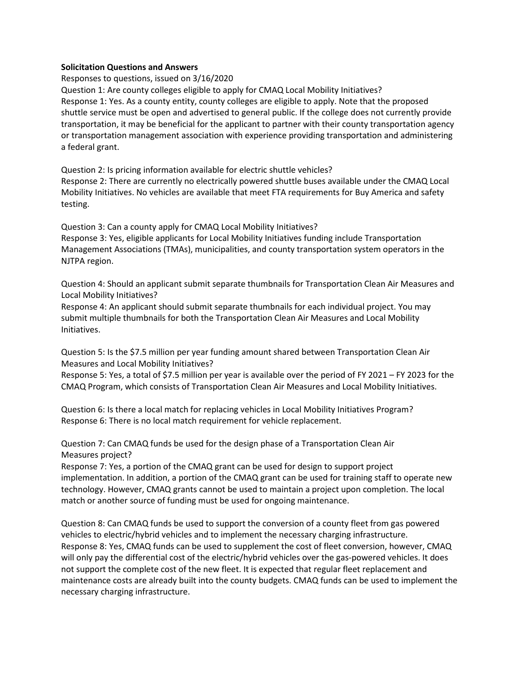## **Solicitation Questions and Answers**

Responses to questions, issued on 3/16/2020

Question 1: Are county colleges eligible to apply for CMAQ Local Mobility Initiatives? Response 1: Yes. As a county entity, county colleges are eligible to apply. Note that the proposed shuttle service must be open and advertised to general public. If the college does not currently provide transportation, it may be beneficial for the applicant to partner with their county transportation agency or transportation management association with experience providing transportation and administering a federal grant.

Question 2: Is pricing information available for electric shuttle vehicles? Response 2: There are currently no electrically powered shuttle buses available under the CMAQ Local Mobility Initiatives. No vehicles are available that meet FTA requirements for Buy America and safety testing.

Question 3: Can a county apply for CMAQ Local Mobility Initiatives?

Response 3: Yes, eligible applicants for Local Mobility Initiatives funding include Transportation Management Associations (TMAs), municipalities, and county transportation system operators in the NJTPA region.

Question 4: Should an applicant submit separate thumbnails for Transportation Clean Air Measures and Local Mobility Initiatives?

Response 4: An applicant should submit separate thumbnails for each individual project. You may submit multiple thumbnails for both the Transportation Clean Air Measures and Local Mobility Initiatives.

Question 5: Is the \$7.5 million per year funding amount shared between Transportation Clean Air Measures and Local Mobility Initiatives?

Response 5: Yes, a total of \$7.5 million per year is available over the period of FY 2021 – FY 2023 for the CMAQ Program, which consists of Transportation Clean Air Measures and Local Mobility Initiatives.

Question 6: Is there a local match for replacing vehicles in Local Mobility Initiatives Program? Response 6: There is no local match requirement for vehicle replacement.

Question 7: Can CMAQ funds be used for the design phase of a Transportation Clean Air Measures project?

Response 7: Yes, a portion of the CMAQ grant can be used for design to support project implementation. In addition, a portion of the CMAQ grant can be used for training staff to operate new technology. However, CMAQ grants cannot be used to maintain a project upon completion. The local match or another source of funding must be used for ongoing maintenance.

Question 8: Can CMAQ funds be used to support the conversion of a county fleet from gas powered vehicles to electric/hybrid vehicles and to implement the necessary charging infrastructure. Response 8: Yes, CMAQ funds can be used to supplement the cost of fleet conversion, however, CMAQ will only pay the differential cost of the electric/hybrid vehicles over the gas-powered vehicles. It does not support the complete cost of the new fleet. It is expected that regular fleet replacement and maintenance costs are already built into the county budgets. CMAQ funds can be used to implement the necessary charging infrastructure.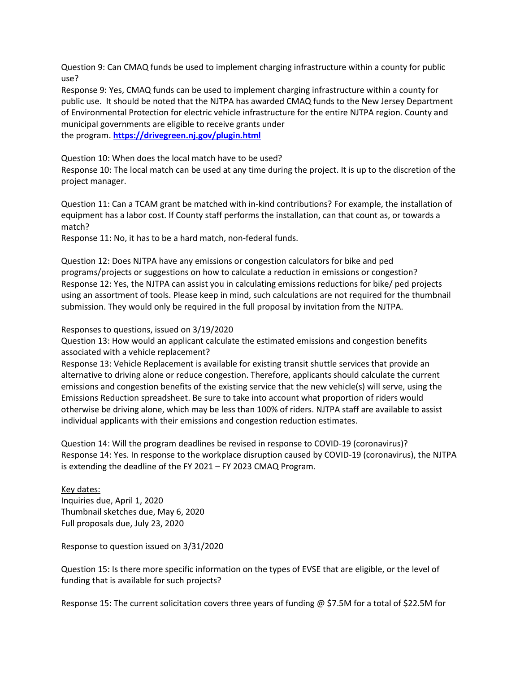Question 9: Can CMAQ funds be used to implement charging infrastructure within a county for public use?

Response 9: Yes, CMAQ funds can be used to implement charging infrastructure within a county for public use. It should be noted that the NJTPA has awarded CMAQ funds to the New Jersey Department of Environmental Protection for electric vehicle infrastructure for the entire NJTPA region. County and municipal governments are eligible to receive grants under the program. **<https://drivegreen.nj.gov/plugin.html>**

Question 10: When does the local match have to be used?

Response 10: The local match can be used at any time during the project. It is up to the discretion of the project manager.

Question 11: Can a TCAM grant be matched with in-kind contributions? For example, the installation of equipment has a labor cost. If County staff performs the installation, can that count as, or towards a match?

Response 11: No, it has to be a hard match, non-federal funds.

Question 12: Does NJTPA have any emissions or congestion calculators for bike and ped programs/projects or suggestions on how to calculate a reduction in emissions or congestion? Response 12: Yes, the NJTPA can assist you in calculating emissions reductions for bike/ ped projects using an assortment of tools. Please keep in mind, such calculations are not required for the thumbnail submission. They would only be required in the full proposal by invitation from the NJTPA.

## Responses to questions, issued on 3/19/2020

Question 13: How would an applicant calculate the estimated emissions and congestion benefits associated with a vehicle replacement?

Response 13: Vehicle Replacement is available for existing transit shuttle services that provide an alternative to driving alone or reduce congestion. Therefore, applicants should calculate the current emissions and congestion benefits of the existing service that the new vehicle(s) will serve, using the Emissions Reduction spreadsheet. Be sure to take into account what proportion of riders would otherwise be driving alone, which may be less than 100% of riders. NJTPA staff are available to assist individual applicants with their emissions and congestion reduction estimates.

Question 14: Will the program deadlines be revised in response to COVID-19 (coronavirus)? Response 14: Yes. In response to the workplace disruption caused by COVID-19 (coronavirus), the NJTPA is extending the deadline of the FY 2021 – FY 2023 CMAQ Program.

Key dates: Inquiries due, April 1, 2020 Thumbnail sketches due, May 6, 2020 Full proposals due, July 23, 2020

Response to question issued on 3/31/2020

Question 15: Is there more specific information on the types of EVSE that are eligible, or the level of funding that is available for such projects?

Response 15: The current solicitation covers three years of funding @ \$7.5M for a total of \$22.5M for